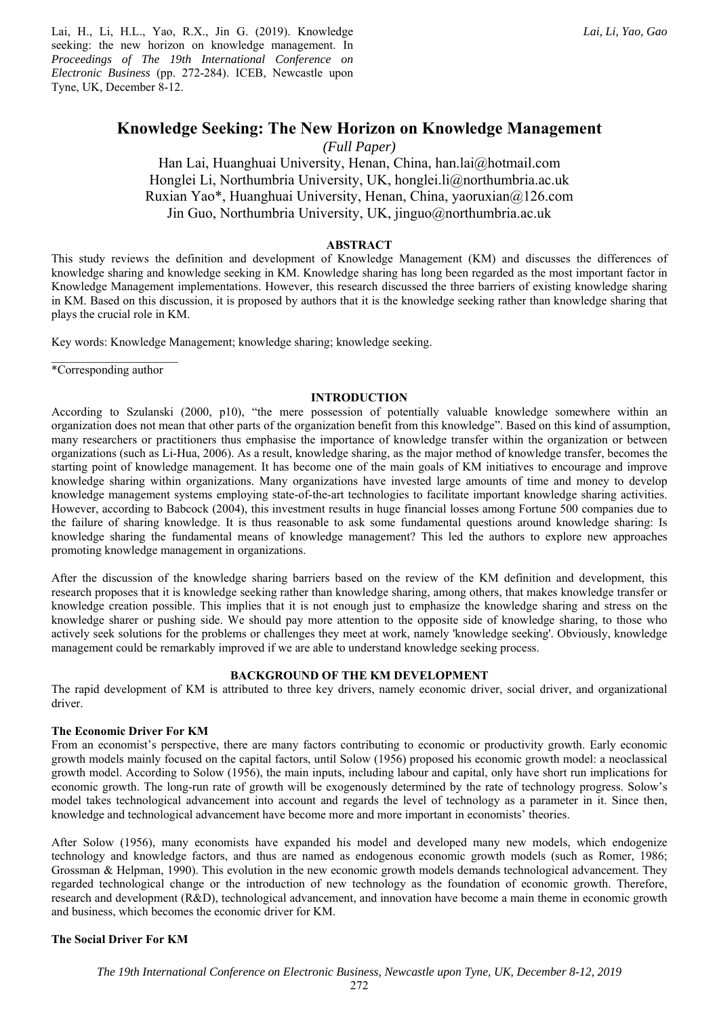Lai, H., Li, H.L., Yao, R.X., Jin G. (2019). Knowledge seeking: the new horizon on knowledge management. In *Proceedings of The 19th International Conference on Electronic Business* (pp. 272-284). ICEB, Newcastle upon Tyne, UK, December 8-12.

*(Full Paper)* 

Han Lai, Huanghuai University, Henan, China, han.lai@hotmail.com Honglei Li, Northumbria University, UK, honglei.li@northumbria.ac.uk Ruxian Yao\*, Huanghuai University, Henan, China, yaoruxian@126.com Jin Guo, Northumbria University, UK, jinguo@northumbria.ac.uk

## **ABSTRACT**

This study reviews the definition and development of Knowledge Management (KM) and discusses the differences of knowledge sharing and knowledge seeking in KM. Knowledge sharing has long been regarded as the most important factor in Knowledge Management implementations. However, this research discussed the three barriers of existing knowledge sharing in KM. Based on this discussion, it is proposed by authors that it is the knowledge seeking rather than knowledge sharing that plays the crucial role in KM.

Key words: Knowledge Management; knowledge sharing; knowledge seeking.

\*Corresponding author

## **INTRODUCTION**

According to Szulanski (2000, p10), "the mere possession of potentially valuable knowledge somewhere within an organization does not mean that other parts of the organization benefit from this knowledge". Based on this kind of assumption, many researchers or practitioners thus emphasise the importance of knowledge transfer within the organization or between organizations (such as Li-Hua, 2006). As a result, knowledge sharing, as the major method of knowledge transfer, becomes the starting point of knowledge management. It has become one of the main goals of KM initiatives to encourage and improve knowledge sharing within organizations. Many organizations have invested large amounts of time and money to develop knowledge management systems employing state-of-the-art technologies to facilitate important knowledge sharing activities. However, according to Babcock (2004), this investment results in huge financial losses among Fortune 500 companies due to the failure of sharing knowledge. It is thus reasonable to ask some fundamental questions around knowledge sharing: Is knowledge sharing the fundamental means of knowledge management? This led the authors to explore new approaches promoting knowledge management in organizations.

After the discussion of the knowledge sharing barriers based on the review of the KM definition and development, this research proposes that it is knowledge seeking rather than knowledge sharing, among others, that makes knowledge transfer or knowledge creation possible. This implies that it is not enough just to emphasize the knowledge sharing and stress on the knowledge sharer or pushing side. We should pay more attention to the opposite side of knowledge sharing, to those who actively seek solutions for the problems or challenges they meet at work, namely 'knowledge seeking'. Obviously, knowledge management could be remarkably improved if we are able to understand knowledge seeking process.

## **BACKGROUND OF THE KM DEVELOPMENT**

The rapid development of KM is attributed to three key drivers, namely economic driver, social driver, and organizational driver.

## **The Economic Driver For KM**

From an economist's perspective, there are many factors contributing to economic or productivity growth. Early economic growth models mainly focused on the capital factors, until Solow (1956) proposed his economic growth model: a neoclassical growth model. According to Solow (1956), the main inputs, including labour and capital, only have short run implications for economic growth. The long-run rate of growth will be exogenously determined by the rate of technology progress. Solow's model takes technological advancement into account and regards the level of technology as a parameter in it. Since then, knowledge and technological advancement have become more and more important in economists' theories.

After Solow (1956), many economists have expanded his model and developed many new models, which endogenize technology and knowledge factors, and thus are named as endogenous economic growth models (such as Romer, 1986; Grossman & Helpman, 1990). This evolution in the new economic growth models demands technological advancement. They regarded technological change or the introduction of new technology as the foundation of economic growth. Therefore, research and development (R&D), technological advancement, and innovation have become a main theme in economic growth and business, which becomes the economic driver for KM.

# **The Social Driver For KM**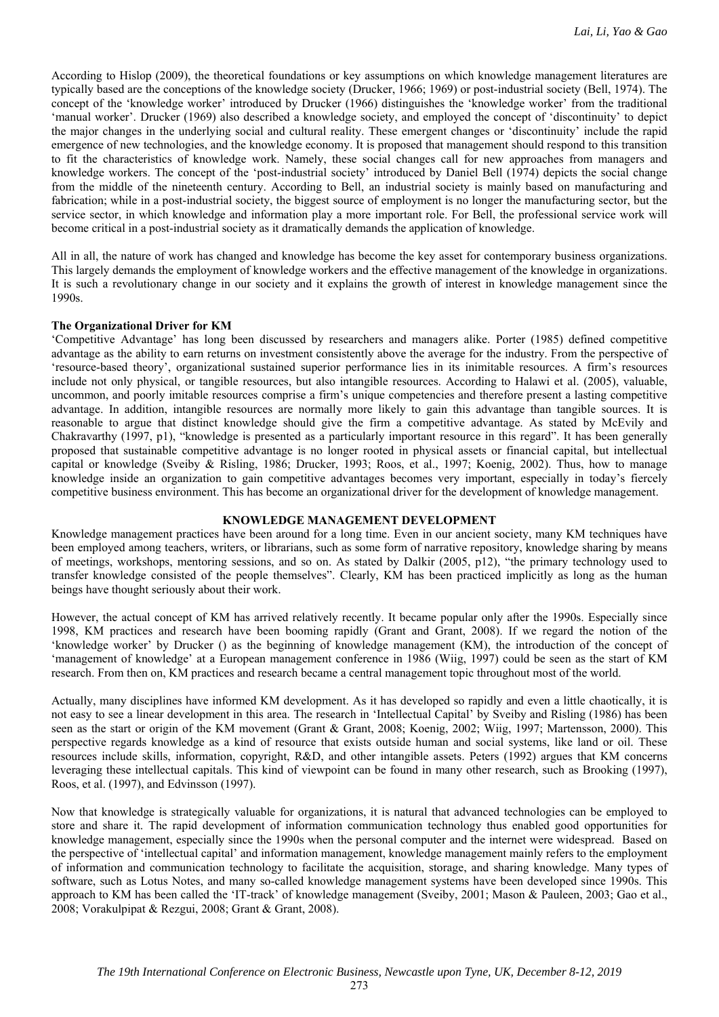According to Hislop (2009), the theoretical foundations or key assumptions on which knowledge management literatures are typically based are the conceptions of the knowledge society (Drucker, 1966; 1969) or post-industrial society (Bell, 1974). The concept of the 'knowledge worker' introduced by Drucker (1966) distinguishes the 'knowledge worker' from the traditional 'manual worker'. Drucker (1969) also described a knowledge society, and employed the concept of 'discontinuity' to depict the major changes in the underlying social and cultural reality. These emergent changes or 'discontinuity' include the rapid emergence of new technologies, and the knowledge economy. It is proposed that management should respond to this transition to fit the characteristics of knowledge work. Namely, these social changes call for new approaches from managers and knowledge workers. The concept of the 'post-industrial society' introduced by Daniel Bell (1974) depicts the social change from the middle of the nineteenth century. According to Bell, an industrial society is mainly based on manufacturing and fabrication; while in a post-industrial society, the biggest source of employment is no longer the manufacturing sector, but the service sector, in which knowledge and information play a more important role. For Bell, the professional service work will become critical in a post-industrial society as it dramatically demands the application of knowledge.

All in all, the nature of work has changed and knowledge has become the key asset for contemporary business organizations. This largely demands the employment of knowledge workers and the effective management of the knowledge in organizations. It is such a revolutionary change in our society and it explains the growth of interest in knowledge management since the 1990s.

#### **The Organizational Driver for KM**

'Competitive Advantage' has long been discussed by researchers and managers alike. Porter (1985) defined competitive advantage as the ability to earn returns on investment consistently above the average for the industry. From the perspective of 'resource-based theory', organizational sustained superior performance lies in its inimitable resources. A firm's resources include not only physical, or tangible resources, but also intangible resources. According to Halawi et al. (2005), valuable, uncommon, and poorly imitable resources comprise a firm's unique competencies and therefore present a lasting competitive advantage. In addition, intangible resources are normally more likely to gain this advantage than tangible sources. It is reasonable to argue that distinct knowledge should give the firm a competitive advantage. As stated by McEvily and Chakravarthy (1997, p1), "knowledge is presented as a particularly important resource in this regard". It has been generally proposed that sustainable competitive advantage is no longer rooted in physical assets or financial capital, but intellectual capital or knowledge (Sveiby & Risling, 1986; Drucker, 1993; Roos, et al., 1997; Koenig, 2002). Thus, how to manage knowledge inside an organization to gain competitive advantages becomes very important, especially in today's fiercely competitive business environment. This has become an organizational driver for the development of knowledge management.

#### **KNOWLEDGE MANAGEMENT DEVELOPMENT**

Knowledge management practices have been around for a long time. Even in our ancient society, many KM techniques have been employed among teachers, writers, or librarians, such as some form of narrative repository, knowledge sharing by means of meetings, workshops, mentoring sessions, and so on. As stated by Dalkir (2005, p12), "the primary technology used to transfer knowledge consisted of the people themselves". Clearly, KM has been practiced implicitly as long as the human beings have thought seriously about their work.

However, the actual concept of KM has arrived relatively recently. It became popular only after the 1990s. Especially since 1998, KM practices and research have been booming rapidly (Grant and Grant, 2008). If we regard the notion of the 'knowledge worker' by Drucker () as the beginning of knowledge management (KM), the introduction of the concept of 'management of knowledge' at a European management conference in 1986 (Wiig, 1997) could be seen as the start of KM research. From then on, KM practices and research became a central management topic throughout most of the world.

Actually, many disciplines have informed KM development. As it has developed so rapidly and even a little chaotically, it is not easy to see a linear development in this area. The research in 'Intellectual Capital' by Sveiby and Risling (1986) has been seen as the start or origin of the KM movement (Grant & Grant, 2008; Koenig, 2002; Wiig, 1997; Martensson, 2000). This perspective regards knowledge as a kind of resource that exists outside human and social systems, like land or oil. These resources include skills, information, copyright, R&D, and other intangible assets. Peters (1992) argues that KM concerns leveraging these intellectual capitals. This kind of viewpoint can be found in many other research, such as Brooking (1997), Roos, et al. (1997), and Edvinsson (1997).

Now that knowledge is strategically valuable for organizations, it is natural that advanced technologies can be employed to store and share it. The rapid development of information communication technology thus enabled good opportunities for knowledge management, especially since the 1990s when the personal computer and the internet were widespread. Based on the perspective of 'intellectual capital' and information management, knowledge management mainly refers to the employment of information and communication technology to facilitate the acquisition, storage, and sharing knowledge. Many types of software, such as Lotus Notes, and many so-called knowledge management systems have been developed since 1990s. This approach to KM has been called the 'IT-track' of knowledge management (Sveiby, 2001; Mason & Pauleen, 2003; Gao et al., 2008; Vorakulpipat & Rezgui, 2008; Grant & Grant, 2008).

273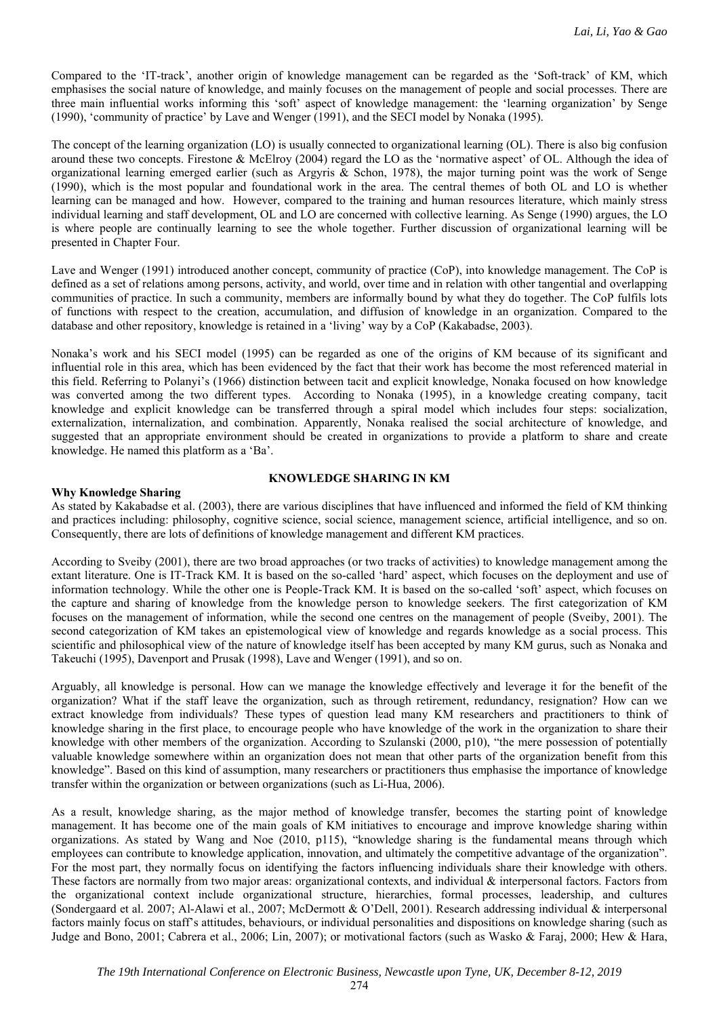Compared to the 'IT-track', another origin of knowledge management can be regarded as the 'Soft-track' of KM, which emphasises the social nature of knowledge, and mainly focuses on the management of people and social processes. There are three main influential works informing this 'soft' aspect of knowledge management: the 'learning organization' by Senge (1990), 'community of practice' by Lave and Wenger (1991), and the SECI model by Nonaka (1995).

The concept of the learning organization (LO) is usually connected to organizational learning (OL). There is also big confusion around these two concepts. Firestone & McElroy (2004) regard the LO as the 'normative aspect' of OL. Although the idea of organizational learning emerged earlier (such as Argyris & Schon, 1978), the major turning point was the work of Senge (1990), which is the most popular and foundational work in the area. The central themes of both OL and LO is whether learning can be managed and how. However, compared to the training and human resources literature, which mainly stress individual learning and staff development, OL and LO are concerned with collective learning. As Senge (1990) argues, the LO is where people are continually learning to see the whole together. Further discussion of organizational learning will be presented in Chapter Four.

Lave and Wenger (1991) introduced another concept, community of practice (CoP), into knowledge management. The CoP is defined as a set of relations among persons, activity, and world, over time and in relation with other tangential and overlapping communities of practice. In such a community, members are informally bound by what they do together. The CoP fulfils lots of functions with respect to the creation, accumulation, and diffusion of knowledge in an organization. Compared to the database and other repository, knowledge is retained in a 'living' way by a CoP (Kakabadse, 2003).

Nonaka's work and his SECI model (1995) can be regarded as one of the origins of KM because of its significant and influential role in this area, which has been evidenced by the fact that their work has become the most referenced material in this field. Referring to Polanyi's (1966) distinction between tacit and explicit knowledge, Nonaka focused on how knowledge was converted among the two different types. According to Nonaka (1995), in a knowledge creating company, tacit knowledge and explicit knowledge can be transferred through a spiral model which includes four steps: socialization, externalization, internalization, and combination. Apparently, Nonaka realised the social architecture of knowledge, and suggested that an appropriate environment should be created in organizations to provide a platform to share and create knowledge. He named this platform as a 'Ba'.

## **KNOWLEDGE SHARING IN KM**

# **Why Knowledge Sharing**

As stated by Kakabadse et al. (2003), there are various disciplines that have influenced and informed the field of KM thinking and practices including: philosophy, cognitive science, social science, management science, artificial intelligence, and so on. Consequently, there are lots of definitions of knowledge management and different KM practices.

According to Sveiby (2001), there are two broad approaches (or two tracks of activities) to knowledge management among the extant literature. One is IT-Track KM. It is based on the so-called 'hard' aspect, which focuses on the deployment and use of information technology. While the other one is People-Track KM. It is based on the so-called 'soft' aspect, which focuses on the capture and sharing of knowledge from the knowledge person to knowledge seekers. The first categorization of KM focuses on the management of information, while the second one centres on the management of people (Sveiby, 2001). The second categorization of KM takes an epistemological view of knowledge and regards knowledge as a social process. This scientific and philosophical view of the nature of knowledge itself has been accepted by many KM gurus, such as Nonaka and Takeuchi (1995), Davenport and Prusak (1998), Lave and Wenger (1991), and so on.

Arguably, all knowledge is personal. How can we manage the knowledge effectively and leverage it for the benefit of the organization? What if the staff leave the organization, such as through retirement, redundancy, resignation? How can we extract knowledge from individuals? These types of question lead many KM researchers and practitioners to think of knowledge sharing in the first place, to encourage people who have knowledge of the work in the organization to share their knowledge with other members of the organization. According to Szulanski (2000, p10), "the mere possession of potentially valuable knowledge somewhere within an organization does not mean that other parts of the organization benefit from this knowledge". Based on this kind of assumption, many researchers or practitioners thus emphasise the importance of knowledge transfer within the organization or between organizations (such as Li-Hua, 2006).

As a result, knowledge sharing, as the major method of knowledge transfer, becomes the starting point of knowledge management. It has become one of the main goals of KM initiatives to encourage and improve knowledge sharing within organizations. As stated by Wang and Noe (2010, p115), "knowledge sharing is the fundamental means through which employees can contribute to knowledge application, innovation, and ultimately the competitive advantage of the organization". For the most part, they normally focus on identifying the factors influencing individuals share their knowledge with others. These factors are normally from two major areas: organizational contexts, and individual & interpersonal factors. Factors from the organizational context include organizational structure, hierarchies, formal processes, leadership, and cultures (Sondergaard et al. 2007; Al-Alawi et al., 2007; McDermott & O'Dell, 2001). Research addressing individual & interpersonal factors mainly focus on staff's attitudes, behaviours, or individual personalities and dispositions on knowledge sharing (such as Judge and Bono, 2001; Cabrera et al., 2006; Lin, 2007); or motivational factors (such as Wasko & Faraj, 2000; Hew & Hara,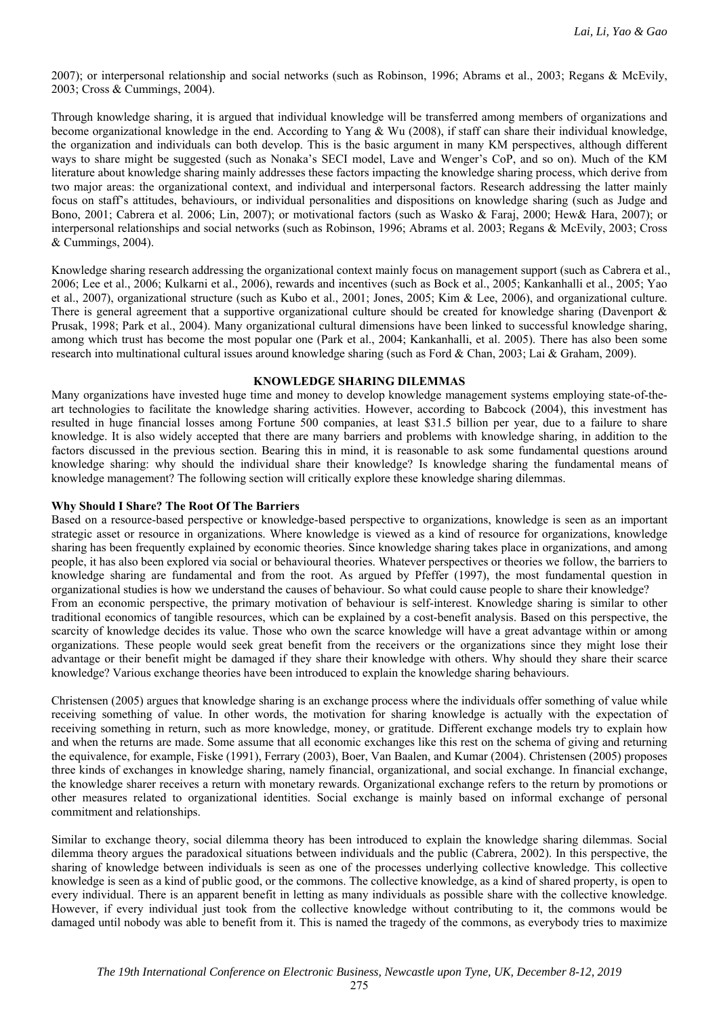2007); or interpersonal relationship and social networks (such as Robinson, 1996; Abrams et al., 2003; Regans & McEvily, 2003; Cross & Cummings, 2004).

Through knowledge sharing, it is argued that individual knowledge will be transferred among members of organizations and become organizational knowledge in the end. According to Yang & Wu (2008), if staff can share their individual knowledge, the organization and individuals can both develop. This is the basic argument in many KM perspectives, although different ways to share might be suggested (such as Nonaka's SECI model, Lave and Wenger's CoP, and so on). Much of the KM literature about knowledge sharing mainly addresses these factors impacting the knowledge sharing process, which derive from two major areas: the organizational context, and individual and interpersonal factors. Research addressing the latter mainly focus on staff's attitudes, behaviours, or individual personalities and dispositions on knowledge sharing (such as Judge and Bono, 2001; Cabrera et al. 2006; Lin, 2007); or motivational factors (such as Wasko & Faraj, 2000; Hew& Hara, 2007); or interpersonal relationships and social networks (such as Robinson, 1996; Abrams et al. 2003; Regans & McEvily, 2003; Cross & Cummings, 2004).

Knowledge sharing research addressing the organizational context mainly focus on management support (such as Cabrera et al., 2006; Lee et al., 2006; Kulkarni et al., 2006), rewards and incentives (such as Bock et al., 2005; Kankanhalli et al., 2005; Yao et al., 2007), organizational structure (such as Kubo et al., 2001; Jones, 2005; Kim & Lee, 2006), and organizational culture. There is general agreement that a supportive organizational culture should be created for knowledge sharing (Davenport & Prusak, 1998; Park et al., 2004). Many organizational cultural dimensions have been linked to successful knowledge sharing, among which trust has become the most popular one (Park et al., 2004; Kankanhalli, et al. 2005). There has also been some research into multinational cultural issues around knowledge sharing (such as Ford & Chan, 2003; Lai & Graham, 2009).

## **KNOWLEDGE SHARING DILEMMAS**

Many organizations have invested huge time and money to develop knowledge management systems employing state-of-theart technologies to facilitate the knowledge sharing activities. However, according to Babcock (2004), this investment has resulted in huge financial losses among Fortune 500 companies, at least \$31.5 billion per year, due to a failure to share knowledge. It is also widely accepted that there are many barriers and problems with knowledge sharing, in addition to the factors discussed in the previous section. Bearing this in mind, it is reasonable to ask some fundamental questions around knowledge sharing: why should the individual share their knowledge? Is knowledge sharing the fundamental means of knowledge management? The following section will critically explore these knowledge sharing dilemmas.

## **Why Should I Share? The Root Of The Barriers**

Based on a resource-based perspective or knowledge-based perspective to organizations, knowledge is seen as an important strategic asset or resource in organizations. Where knowledge is viewed as a kind of resource for organizations, knowledge sharing has been frequently explained by economic theories. Since knowledge sharing takes place in organizations, and among people, it has also been explored via social or behavioural theories. Whatever perspectives or theories we follow, the barriers to knowledge sharing are fundamental and from the root. As argued by Pfeffer (1997), the most fundamental question in organizational studies is how we understand the causes of behaviour. So what could cause people to share their knowledge? From an economic perspective, the primary motivation of behaviour is self-interest. Knowledge sharing is similar to other traditional economics of tangible resources, which can be explained by a cost-benefit analysis. Based on this perspective, the scarcity of knowledge decides its value. Those who own the scarce knowledge will have a great advantage within or among organizations. These people would seek great benefit from the receivers or the organizations since they might lose their advantage or their benefit might be damaged if they share their knowledge with others. Why should they share their scarce knowledge? Various exchange theories have been introduced to explain the knowledge sharing behaviours.

Christensen (2005) argues that knowledge sharing is an exchange process where the individuals offer something of value while receiving something of value. In other words, the motivation for sharing knowledge is actually with the expectation of receiving something in return, such as more knowledge, money, or gratitude. Different exchange models try to explain how and when the returns are made. Some assume that all economic exchanges like this rest on the schema of giving and returning the equivalence, for example, Fiske (1991), Ferrary (2003), Boer, Van Baalen, and Kumar (2004). Christensen (2005) proposes three kinds of exchanges in knowledge sharing, namely financial, organizational, and social exchange. In financial exchange, the knowledge sharer receives a return with monetary rewards. Organizational exchange refers to the return by promotions or other measures related to organizational identities. Social exchange is mainly based on informal exchange of personal commitment and relationships.

Similar to exchange theory, social dilemma theory has been introduced to explain the knowledge sharing dilemmas. Social dilemma theory argues the paradoxical situations between individuals and the public (Cabrera, 2002). In this perspective, the sharing of knowledge between individuals is seen as one of the processes underlying collective knowledge. This collective knowledge is seen as a kind of public good, or the commons. The collective knowledge, as a kind of shared property, is open to every individual. There is an apparent benefit in letting as many individuals as possible share with the collective knowledge. However, if every individual just took from the collective knowledge without contributing to it, the commons would be damaged until nobody was able to benefit from it. This is named the tragedy of the commons, as everybody tries to maximize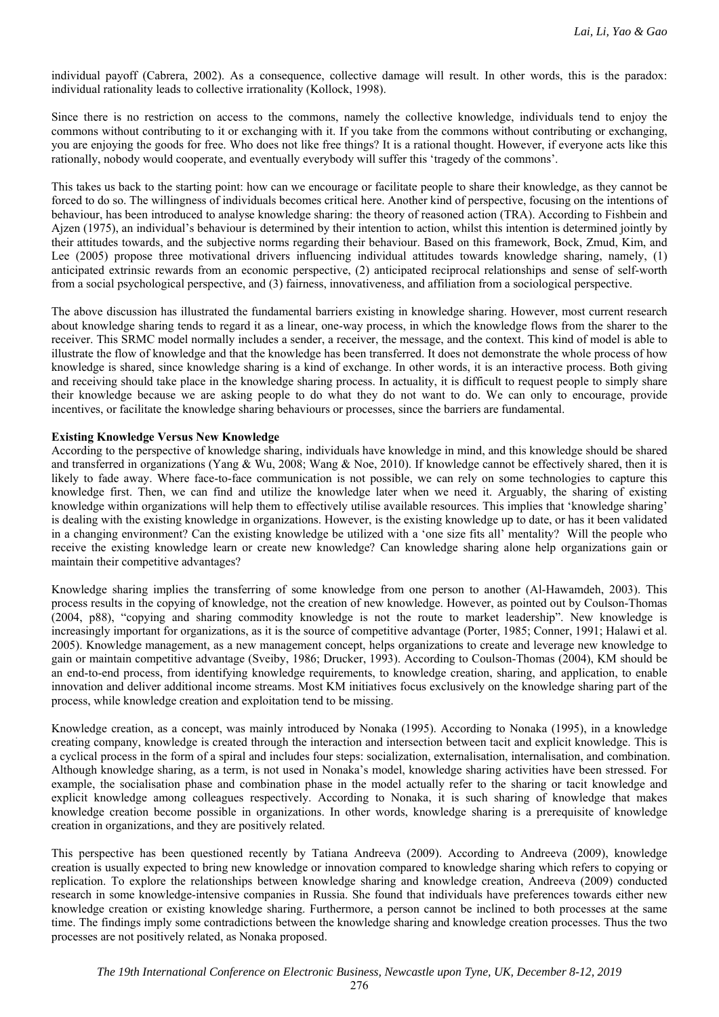individual payoff (Cabrera, 2002). As a consequence, collective damage will result. In other words, this is the paradox: individual rationality leads to collective irrationality (Kollock, 1998).

Since there is no restriction on access to the commons, namely the collective knowledge, individuals tend to enjoy the commons without contributing to it or exchanging with it. If you take from the commons without contributing or exchanging, you are enjoying the goods for free. Who does not like free things? It is a rational thought. However, if everyone acts like this rationally, nobody would cooperate, and eventually everybody will suffer this 'tragedy of the commons'.

This takes us back to the starting point: how can we encourage or facilitate people to share their knowledge, as they cannot be forced to do so. The willingness of individuals becomes critical here. Another kind of perspective, focusing on the intentions of behaviour, has been introduced to analyse knowledge sharing: the theory of reasoned action (TRA). According to Fishbein and Ajzen (1975), an individual's behaviour is determined by their intention to action, whilst this intention is determined jointly by their attitudes towards, and the subjective norms regarding their behaviour. Based on this framework, Bock, Zmud, Kim, and Lee (2005) propose three motivational drivers influencing individual attitudes towards knowledge sharing, namely, (1) anticipated extrinsic rewards from an economic perspective, (2) anticipated reciprocal relationships and sense of self-worth from a social psychological perspective, and (3) fairness, innovativeness, and affiliation from a sociological perspective.

The above discussion has illustrated the fundamental barriers existing in knowledge sharing. However, most current research about knowledge sharing tends to regard it as a linear, one-way process, in which the knowledge flows from the sharer to the receiver. This SRMC model normally includes a sender, a receiver, the message, and the context. This kind of model is able to illustrate the flow of knowledge and that the knowledge has been transferred. It does not demonstrate the whole process of how knowledge is shared, since knowledge sharing is a kind of exchange. In other words, it is an interactive process. Both giving and receiving should take place in the knowledge sharing process. In actuality, it is difficult to request people to simply share their knowledge because we are asking people to do what they do not want to do. We can only to encourage, provide incentives, or facilitate the knowledge sharing behaviours or processes, since the barriers are fundamental.

## **Existing Knowledge Versus New Knowledge**

According to the perspective of knowledge sharing, individuals have knowledge in mind, and this knowledge should be shared and transferred in organizations (Yang & Wu, 2008; Wang & Noe, 2010). If knowledge cannot be effectively shared, then it is likely to fade away. Where face-to-face communication is not possible, we can rely on some technologies to capture this knowledge first. Then, we can find and utilize the knowledge later when we need it. Arguably, the sharing of existing knowledge within organizations will help them to effectively utilise available resources. This implies that 'knowledge sharing' is dealing with the existing knowledge in organizations. However, is the existing knowledge up to date, or has it been validated in a changing environment? Can the existing knowledge be utilized with a 'one size fits all' mentality? Will the people who receive the existing knowledge learn or create new knowledge? Can knowledge sharing alone help organizations gain or maintain their competitive advantages?

Knowledge sharing implies the transferring of some knowledge from one person to another (Al-Hawamdeh, 2003). This process results in the copying of knowledge, not the creation of new knowledge. However, as pointed out by Coulson-Thomas (2004, p88), "copying and sharing commodity knowledge is not the route to market leadership". New knowledge is increasingly important for organizations, as it is the source of competitive advantage (Porter, 1985; Conner, 1991; Halawi et al. 2005). Knowledge management, as a new management concept, helps organizations to create and leverage new knowledge to gain or maintain competitive advantage (Sveiby, 1986; Drucker, 1993). According to Coulson-Thomas (2004), KM should be an end-to-end process, from identifying knowledge requirements, to knowledge creation, sharing, and application, to enable innovation and deliver additional income streams. Most KM initiatives focus exclusively on the knowledge sharing part of the process, while knowledge creation and exploitation tend to be missing.

Knowledge creation, as a concept, was mainly introduced by Nonaka (1995). According to Nonaka (1995), in a knowledge creating company, knowledge is created through the interaction and intersection between tacit and explicit knowledge. This is a cyclical process in the form of a spiral and includes four steps: socialization, externalisation, internalisation, and combination. Although knowledge sharing, as a term, is not used in Nonaka's model, knowledge sharing activities have been stressed. For example, the socialisation phase and combination phase in the model actually refer to the sharing or tacit knowledge and explicit knowledge among colleagues respectively. According to Nonaka, it is such sharing of knowledge that makes knowledge creation become possible in organizations. In other words, knowledge sharing is a prerequisite of knowledge creation in organizations, and they are positively related.

This perspective has been questioned recently by Tatiana Andreeva (2009). According to Andreeva (2009), knowledge creation is usually expected to bring new knowledge or innovation compared to knowledge sharing which refers to copying or replication. To explore the relationships between knowledge sharing and knowledge creation, Andreeva (2009) conducted research in some knowledge-intensive companies in Russia. She found that individuals have preferences towards either new knowledge creation or existing knowledge sharing. Furthermore, a person cannot be inclined to both processes at the same time. The findings imply some contradictions between the knowledge sharing and knowledge creation processes. Thus the two processes are not positively related, as Nonaka proposed.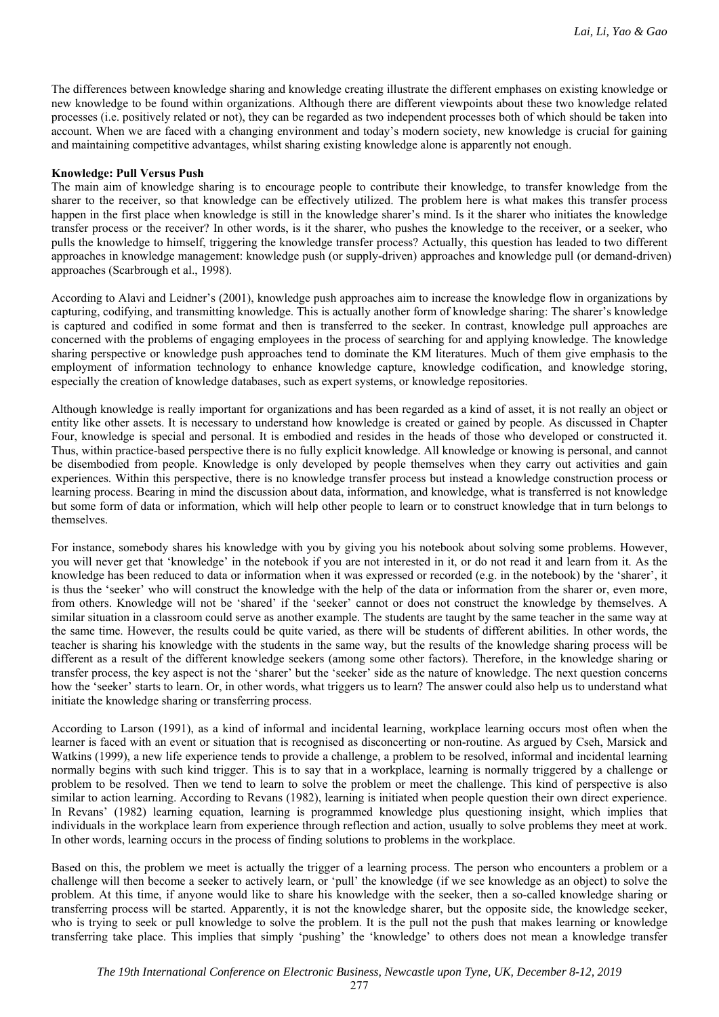The differences between knowledge sharing and knowledge creating illustrate the different emphases on existing knowledge or new knowledge to be found within organizations. Although there are different viewpoints about these two knowledge related processes (i.e. positively related or not), they can be regarded as two independent processes both of which should be taken into account. When we are faced with a changing environment and today's modern society, new knowledge is crucial for gaining and maintaining competitive advantages, whilst sharing existing knowledge alone is apparently not enough.

#### **Knowledge: Pull Versus Push**

The main aim of knowledge sharing is to encourage people to contribute their knowledge, to transfer knowledge from the sharer to the receiver, so that knowledge can be effectively utilized. The problem here is what makes this transfer process happen in the first place when knowledge is still in the knowledge sharer's mind. Is it the sharer who initiates the knowledge transfer process or the receiver? In other words, is it the sharer, who pushes the knowledge to the receiver, or a seeker, who pulls the knowledge to himself, triggering the knowledge transfer process? Actually, this question has leaded to two different approaches in knowledge management: knowledge push (or supply-driven) approaches and knowledge pull (or demand-driven) approaches (Scarbrough et al., 1998).

According to Alavi and Leidner's (2001), knowledge push approaches aim to increase the knowledge flow in organizations by capturing, codifying, and transmitting knowledge. This is actually another form of knowledge sharing: The sharer's knowledge is captured and codified in some format and then is transferred to the seeker. In contrast, knowledge pull approaches are concerned with the problems of engaging employees in the process of searching for and applying knowledge. The knowledge sharing perspective or knowledge push approaches tend to dominate the KM literatures. Much of them give emphasis to the employment of information technology to enhance knowledge capture, knowledge codification, and knowledge storing, especially the creation of knowledge databases, such as expert systems, or knowledge repositories.

Although knowledge is really important for organizations and has been regarded as a kind of asset, it is not really an object or entity like other assets. It is necessary to understand how knowledge is created or gained by people. As discussed in Chapter Four, knowledge is special and personal. It is embodied and resides in the heads of those who developed or constructed it. Thus, within practice-based perspective there is no fully explicit knowledge. All knowledge or knowing is personal, and cannot be disembodied from people. Knowledge is only developed by people themselves when they carry out activities and gain experiences. Within this perspective, there is no knowledge transfer process but instead a knowledge construction process or learning process. Bearing in mind the discussion about data, information, and knowledge, what is transferred is not knowledge but some form of data or information, which will help other people to learn or to construct knowledge that in turn belongs to themselves.

For instance, somebody shares his knowledge with you by giving you his notebook about solving some problems. However, you will never get that 'knowledge' in the notebook if you are not interested in it, or do not read it and learn from it. As the knowledge has been reduced to data or information when it was expressed or recorded (e.g. in the notebook) by the 'sharer', it is thus the 'seeker' who will construct the knowledge with the help of the data or information from the sharer or, even more, from others. Knowledge will not be 'shared' if the 'seeker' cannot or does not construct the knowledge by themselves. A similar situation in a classroom could serve as another example. The students are taught by the same teacher in the same way at the same time. However, the results could be quite varied, as there will be students of different abilities. In other words, the teacher is sharing his knowledge with the students in the same way, but the results of the knowledge sharing process will be different as a result of the different knowledge seekers (among some other factors). Therefore, in the knowledge sharing or transfer process, the key aspect is not the 'sharer' but the 'seeker' side as the nature of knowledge. The next question concerns how the 'seeker' starts to learn. Or, in other words, what triggers us to learn? The answer could also help us to understand what initiate the knowledge sharing or transferring process.

According to Larson (1991), as a kind of informal and incidental learning, workplace learning occurs most often when the learner is faced with an event or situation that is recognised as disconcerting or non-routine. As argued by Cseh, Marsick and Watkins (1999), a new life experience tends to provide a challenge, a problem to be resolved, informal and incidental learning normally begins with such kind trigger. This is to say that in a workplace, learning is normally triggered by a challenge or problem to be resolved. Then we tend to learn to solve the problem or meet the challenge. This kind of perspective is also similar to action learning. According to Revans (1982), learning is initiated when people question their own direct experience. In Revans' (1982) learning equation, learning is programmed knowledge plus questioning insight, which implies that individuals in the workplace learn from experience through reflection and action, usually to solve problems they meet at work. In other words, learning occurs in the process of finding solutions to problems in the workplace.

Based on this, the problem we meet is actually the trigger of a learning process. The person who encounters a problem or a challenge will then become a seeker to actively learn, or 'pull' the knowledge (if we see knowledge as an object) to solve the problem. At this time, if anyone would like to share his knowledge with the seeker, then a so-called knowledge sharing or transferring process will be started. Apparently, it is not the knowledge sharer, but the opposite side, the knowledge seeker, who is trying to seek or pull knowledge to solve the problem. It is the pull not the push that makes learning or knowledge transferring take place. This implies that simply 'pushing' the 'knowledge' to others does not mean a knowledge transfer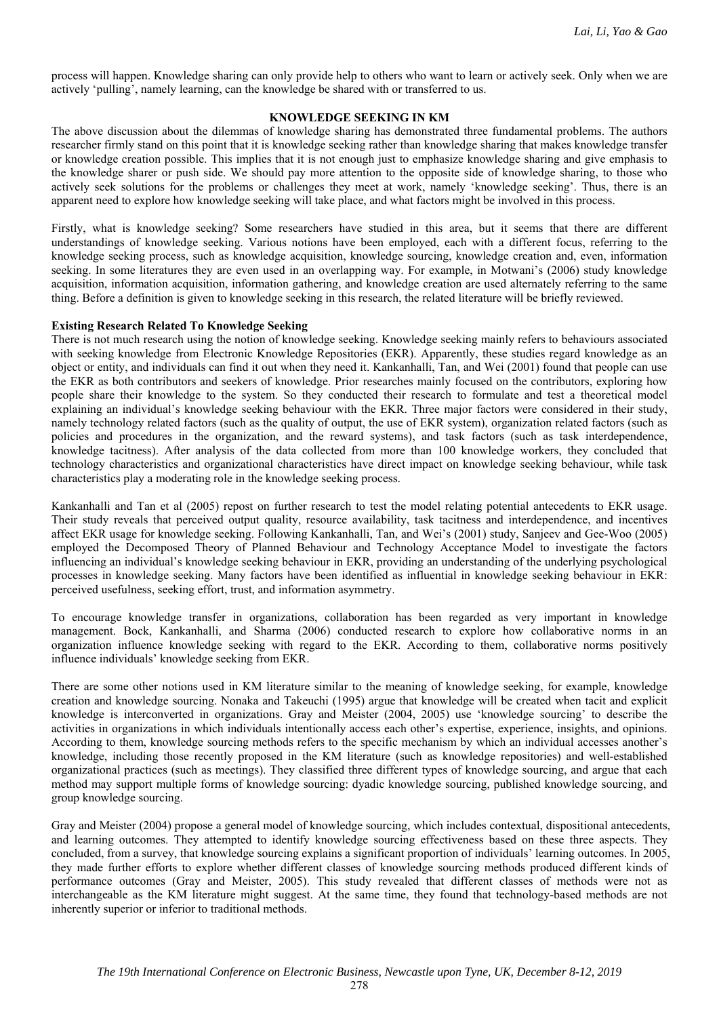process will happen. Knowledge sharing can only provide help to others who want to learn or actively seek. Only when we are actively 'pulling', namely learning, can the knowledge be shared with or transferred to us.

## **KNOWLEDGE SEEKING IN KM**

The above discussion about the dilemmas of knowledge sharing has demonstrated three fundamental problems. The authors researcher firmly stand on this point that it is knowledge seeking rather than knowledge sharing that makes knowledge transfer or knowledge creation possible. This implies that it is not enough just to emphasize knowledge sharing and give emphasis to the knowledge sharer or push side. We should pay more attention to the opposite side of knowledge sharing, to those who actively seek solutions for the problems or challenges they meet at work, namely 'knowledge seeking'. Thus, there is an apparent need to explore how knowledge seeking will take place, and what factors might be involved in this process.

Firstly, what is knowledge seeking? Some researchers have studied in this area, but it seems that there are different understandings of knowledge seeking. Various notions have been employed, each with a different focus, referring to the knowledge seeking process, such as knowledge acquisition, knowledge sourcing, knowledge creation and, even, information seeking. In some literatures they are even used in an overlapping way. For example, in Motwani's (2006) study knowledge acquisition, information acquisition, information gathering, and knowledge creation are used alternately referring to the same thing. Before a definition is given to knowledge seeking in this research, the related literature will be briefly reviewed.

#### **Existing Research Related To Knowledge Seeking**

There is not much research using the notion of knowledge seeking. Knowledge seeking mainly refers to behaviours associated with seeking knowledge from Electronic Knowledge Repositories (EKR). Apparently, these studies regard knowledge as an object or entity, and individuals can find it out when they need it. Kankanhalli, Tan, and Wei (2001) found that people can use the EKR as both contributors and seekers of knowledge. Prior researches mainly focused on the contributors, exploring how people share their knowledge to the system. So they conducted their research to formulate and test a theoretical model explaining an individual's knowledge seeking behaviour with the EKR. Three major factors were considered in their study, namely technology related factors (such as the quality of output, the use of EKR system), organization related factors (such as policies and procedures in the organization, and the reward systems), and task factors (such as task interdependence, knowledge tacitness). After analysis of the data collected from more than 100 knowledge workers, they concluded that technology characteristics and organizational characteristics have direct impact on knowledge seeking behaviour, while task characteristics play a moderating role in the knowledge seeking process.

Kankanhalli and Tan et al (2005) repost on further research to test the model relating potential antecedents to EKR usage. Their study reveals that perceived output quality, resource availability, task tacitness and interdependence, and incentives affect EKR usage for knowledge seeking. Following Kankanhalli, Tan, and Wei's (2001) study, Sanjeev and Gee-Woo (2005) employed the Decomposed Theory of Planned Behaviour and Technology Acceptance Model to investigate the factors influencing an individual's knowledge seeking behaviour in EKR, providing an understanding of the underlying psychological processes in knowledge seeking. Many factors have been identified as influential in knowledge seeking behaviour in EKR: perceived usefulness, seeking effort, trust, and information asymmetry.

To encourage knowledge transfer in organizations, collaboration has been regarded as very important in knowledge management. Bock, Kankanhalli, and Sharma (2006) conducted research to explore how collaborative norms in an organization influence knowledge seeking with regard to the EKR. According to them, collaborative norms positively influence individuals' knowledge seeking from EKR.

There are some other notions used in KM literature similar to the meaning of knowledge seeking, for example, knowledge creation and knowledge sourcing. Nonaka and Takeuchi (1995) argue that knowledge will be created when tacit and explicit knowledge is interconverted in organizations. Gray and Meister (2004, 2005) use 'knowledge sourcing' to describe the activities in organizations in which individuals intentionally access each other's expertise, experience, insights, and opinions. According to them, knowledge sourcing methods refers to the specific mechanism by which an individual accesses another's knowledge, including those recently proposed in the KM literature (such as knowledge repositories) and well-established organizational practices (such as meetings). They classified three different types of knowledge sourcing, and argue that each method may support multiple forms of knowledge sourcing: dyadic knowledge sourcing, published knowledge sourcing, and group knowledge sourcing.

Gray and Meister (2004) propose a general model of knowledge sourcing, which includes contextual, dispositional antecedents, and learning outcomes. They attempted to identify knowledge sourcing effectiveness based on these three aspects. They concluded, from a survey, that knowledge sourcing explains a significant proportion of individuals' learning outcomes. In 2005, they made further efforts to explore whether different classes of knowledge sourcing methods produced different kinds of performance outcomes (Gray and Meister, 2005). This study revealed that different classes of methods were not as interchangeable as the KM literature might suggest. At the same time, they found that technology-based methods are not inherently superior or inferior to traditional methods.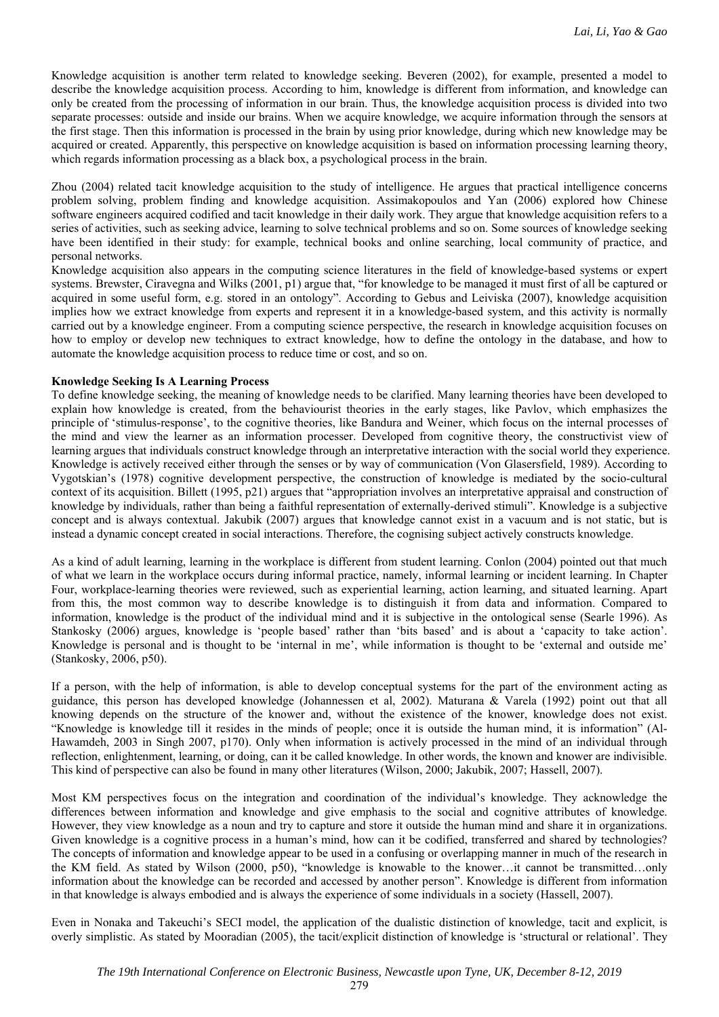Knowledge acquisition is another term related to knowledge seeking. Beveren (2002), for example, presented a model to describe the knowledge acquisition process. According to him, knowledge is different from information, and knowledge can only be created from the processing of information in our brain. Thus, the knowledge acquisition process is divided into two separate processes: outside and inside our brains. When we acquire knowledge, we acquire information through the sensors at the first stage. Then this information is processed in the brain by using prior knowledge, during which new knowledge may be acquired or created. Apparently, this perspective on knowledge acquisition is based on information processing learning theory, which regards information processing as a black box, a psychological process in the brain.

Zhou (2004) related tacit knowledge acquisition to the study of intelligence. He argues that practical intelligence concerns problem solving, problem finding and knowledge acquisition. Assimakopoulos and Yan (2006) explored how Chinese software engineers acquired codified and tacit knowledge in their daily work. They argue that knowledge acquisition refers to a series of activities, such as seeking advice, learning to solve technical problems and so on. Some sources of knowledge seeking have been identified in their study: for example, technical books and online searching, local community of practice, and personal networks.

Knowledge acquisition also appears in the computing science literatures in the field of knowledge-based systems or expert systems. Brewster, Ciravegna and Wilks (2001, p1) argue that, "for knowledge to be managed it must first of all be captured or acquired in some useful form, e.g. stored in an ontology". According to Gebus and Leiviska (2007), knowledge acquisition implies how we extract knowledge from experts and represent it in a knowledge-based system, and this activity is normally carried out by a knowledge engineer. From a computing science perspective, the research in knowledge acquisition focuses on how to employ or develop new techniques to extract knowledge, how to define the ontology in the database, and how to automate the knowledge acquisition process to reduce time or cost, and so on.

## **Knowledge Seeking Is A Learning Process**

To define knowledge seeking, the meaning of knowledge needs to be clarified. Many learning theories have been developed to explain how knowledge is created, from the behaviourist theories in the early stages, like Pavlov, which emphasizes the principle of 'stimulus-response', to the cognitive theories, like Bandura and Weiner, which focus on the internal processes of the mind and view the learner as an information processer. Developed from cognitive theory, the constructivist view of learning argues that individuals construct knowledge through an interpretative interaction with the social world they experience. Knowledge is actively received either through the senses or by way of communication (Von Glasersfield, 1989). According to Vygotskian's (1978) cognitive development perspective, the construction of knowledge is mediated by the socio-cultural context of its acquisition. Billett (1995, p21) argues that "appropriation involves an interpretative appraisal and construction of knowledge by individuals, rather than being a faithful representation of externally-derived stimuli". Knowledge is a subjective concept and is always contextual. Jakubik (2007) argues that knowledge cannot exist in a vacuum and is not static, but is instead a dynamic concept created in social interactions. Therefore, the cognising subject actively constructs knowledge.

As a kind of adult learning, learning in the workplace is different from student learning. Conlon (2004) pointed out that much of what we learn in the workplace occurs during informal practice, namely, informal learning or incident learning. In Chapter Four, workplace-learning theories were reviewed, such as experiential learning, action learning, and situated learning. Apart from this, the most common way to describe knowledge is to distinguish it from data and information. Compared to information, knowledge is the product of the individual mind and it is subjective in the ontological sense (Searle 1996). As Stankosky (2006) argues, knowledge is 'people based' rather than 'bits based' and is about a 'capacity to take action'. Knowledge is personal and is thought to be 'internal in me', while information is thought to be 'external and outside me' (Stankosky, 2006, p50).

If a person, with the help of information, is able to develop conceptual systems for the part of the environment acting as guidance, this person has developed knowledge (Johannessen et al, 2002). Maturana & Varela (1992) point out that all knowing depends on the structure of the knower and, without the existence of the knower, knowledge does not exist. "Knowledge is knowledge till it resides in the minds of people; once it is outside the human mind, it is information" (Al-Hawamdeh, 2003 in Singh 2007, p170). Only when information is actively processed in the mind of an individual through reflection, enlightenment, learning, or doing, can it be called knowledge. In other words, the known and knower are indivisible. This kind of perspective can also be found in many other literatures (Wilson, 2000; Jakubik, 2007; Hassell, 2007).

Most KM perspectives focus on the integration and coordination of the individual's knowledge. They acknowledge the differences between information and knowledge and give emphasis to the social and cognitive attributes of knowledge. However, they view knowledge as a noun and try to capture and store it outside the human mind and share it in organizations. Given knowledge is a cognitive process in a human's mind, how can it be codified, transferred and shared by technologies? The concepts of information and knowledge appear to be used in a confusing or overlapping manner in much of the research in the KM field. As stated by Wilson (2000, p50), "knowledge is knowable to the knower…it cannot be transmitted…only information about the knowledge can be recorded and accessed by another person". Knowledge is different from information in that knowledge is always embodied and is always the experience of some individuals in a society (Hassell, 2007).

Even in Nonaka and Takeuchi's SECI model, the application of the dualistic distinction of knowledge, tacit and explicit, is overly simplistic. As stated by Mooradian (2005), the tacit/explicit distinction of knowledge is 'structural or relational'. They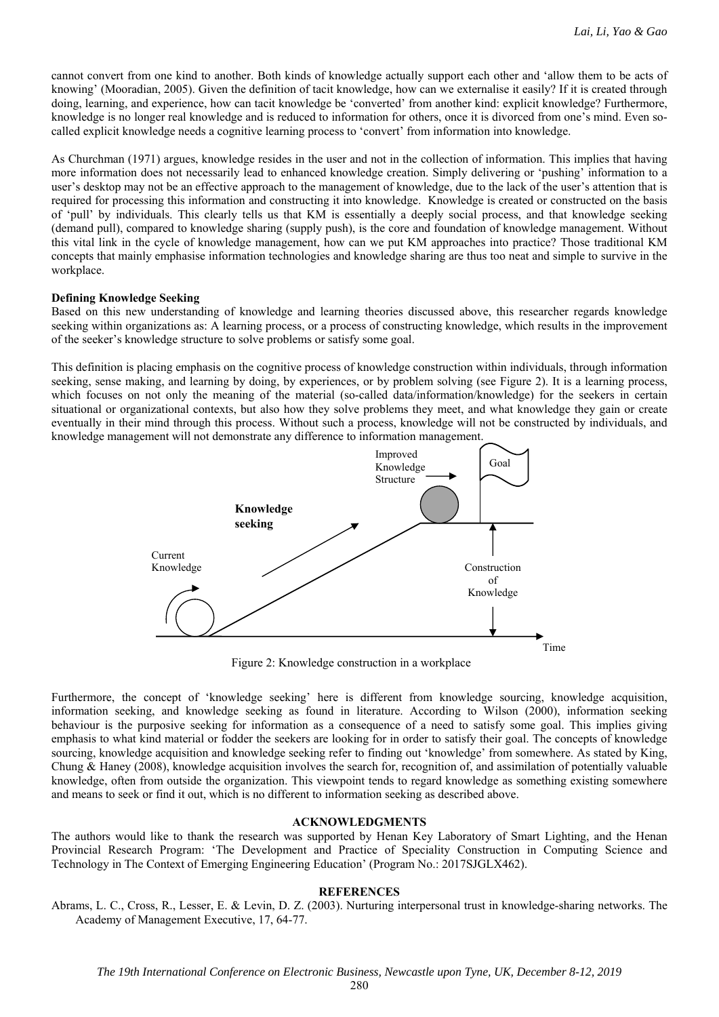cannot convert from one kind to another. Both kinds of knowledge actually support each other and 'allow them to be acts of knowing' (Mooradian, 2005). Given the definition of tacit knowledge, how can we externalise it easily? If it is created through doing, learning, and experience, how can tacit knowledge be 'converted' from another kind: explicit knowledge? Furthermore, knowledge is no longer real knowledge and is reduced to information for others, once it is divorced from one's mind. Even socalled explicit knowledge needs a cognitive learning process to 'convert' from information into knowledge.

As Churchman (1971) argues, knowledge resides in the user and not in the collection of information. This implies that having more information does not necessarily lead to enhanced knowledge creation. Simply delivering or 'pushing' information to a user's desktop may not be an effective approach to the management of knowledge, due to the lack of the user's attention that is required for processing this information and constructing it into knowledge. Knowledge is created or constructed on the basis of 'pull' by individuals. This clearly tells us that KM is essentially a deeply social process, and that knowledge seeking (demand pull), compared to knowledge sharing (supply push), is the core and foundation of knowledge management. Without this vital link in the cycle of knowledge management, how can we put KM approaches into practice? Those traditional KM concepts that mainly emphasise information technologies and knowledge sharing are thus too neat and simple to survive in the workplace.

#### **Defining Knowledge Seeking**

Based on this new understanding of knowledge and learning theories discussed above, this researcher regards knowledge seeking within organizations as: A learning process, or a process of constructing knowledge, which results in the improvement of the seeker's knowledge structure to solve problems or satisfy some goal.

This definition is placing emphasis on the cognitive process of knowledge construction within individuals, through information seeking, sense making, and learning by doing, by experiences, or by problem solving (see Figure 2). It is a learning process, which focuses on not only the meaning of the material (so-called data/information/knowledge) for the seekers in certain situational or organizational contexts, but also how they solve problems they meet, and what knowledge they gain or create eventually in their mind through this process. Without such a process, knowledge will not be constructed by individuals, and knowledge management will not demonstrate any difference to information management.



Figure 2: Knowledge construction in a workplace

Furthermore, the concept of 'knowledge seeking' here is different from knowledge sourcing, knowledge acquisition, information seeking, and knowledge seeking as found in literature. According to Wilson (2000), information seeking behaviour is the purposive seeking for information as a consequence of a need to satisfy some goal. This implies giving emphasis to what kind material or fodder the seekers are looking for in order to satisfy their goal. The concepts of knowledge sourcing, knowledge acquisition and knowledge seeking refer to finding out 'knowledge' from somewhere. As stated by King, Chung & Haney (2008), knowledge acquisition involves the search for, recognition of, and assimilation of potentially valuable knowledge, often from outside the organization. This viewpoint tends to regard knowledge as something existing somewhere and means to seek or find it out, which is no different to information seeking as described above.

#### **ACKNOWLEDGMENTS**

The authors would like to thank the research was supported by Henan Key Laboratory of Smart Lighting, and the Henan Provincial Research Program: 'The Development and Practice of Speciality Construction in Computing Science and Technology in The Context of Emerging Engineering Education' (Program No.: 2017SJGLX462).

#### **REFERENCES**

Abrams, L. C., Cross, R., Lesser, E. & Levin, D. Z. (2003). Nurturing interpersonal trust in knowledge-sharing networks. The Academy of Management Executive, 17, 64-77.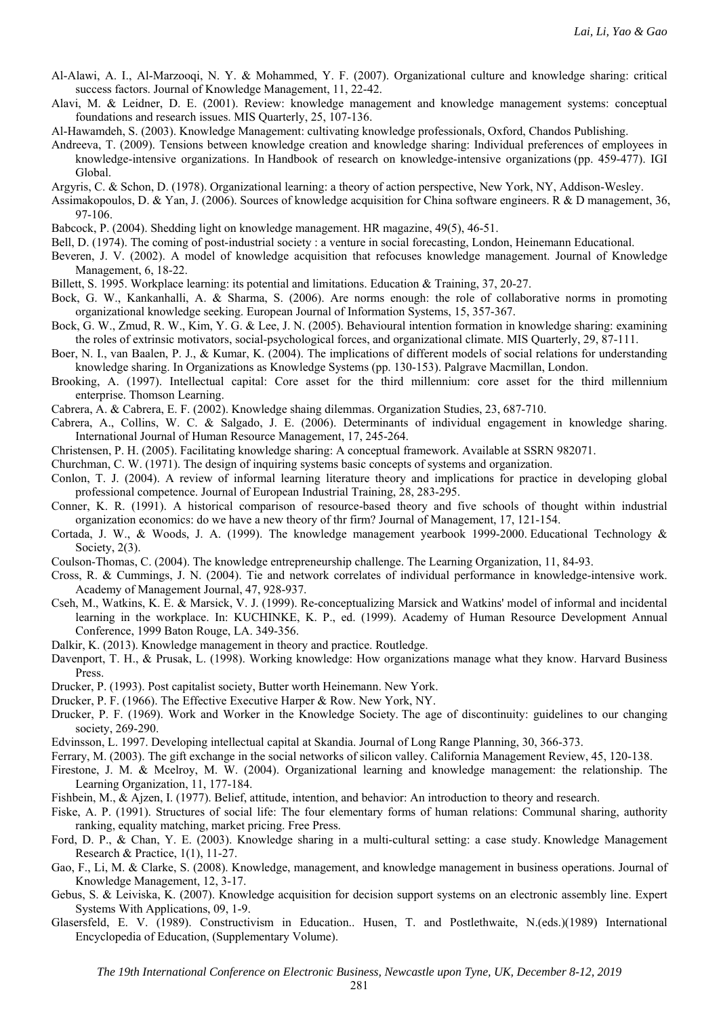Al-Alawi, A. I., Al-Marzooqi, N. Y. & Mohammed, Y. F. (2007). Organizational culture and knowledge sharing: critical success factors. Journal of Knowledge Management, 11, 22-42.

- Alavi, M. & Leidner, D. E. (2001). Review: knowledge management and knowledge management systems: conceptual foundations and research issues. MIS Quarterly, 25, 107-136.
- Al-Hawamdeh, S. (2003). Knowledge Management: cultivating knowledge professionals, Oxford, Chandos Publishing.
- Andreeva, T. (2009). Tensions between knowledge creation and knowledge sharing: Individual preferences of employees in knowledge-intensive organizations. In Handbook of research on knowledge-intensive organizations (pp. 459-477). IGI Global.
- Argyris, C. & Schon, D. (1978). Organizational learning: a theory of action perspective, New York, NY, Addison-Wesley.
- Assimakopoulos, D. & Yan, J. (2006). Sources of knowledge acquisition for China software engineers. R & D management, 36, 97-106.
- Babcock, P. (2004). Shedding light on knowledge management. HR magazine, 49(5), 46-51.
- Bell, D. (1974). The coming of post-industrial society : a venture in social forecasting, London, Heinemann Educational.
- Beveren, J. V. (2002). A model of knowledge acquisition that refocuses knowledge management. Journal of Knowledge Management, 6, 18-22.
- Billett, S. 1995. Workplace learning: its potential and limitations. Education & Training, 37, 20-27.
- Bock, G. W., Kankanhalli, A. & Sharma, S. (2006). Are norms enough: the role of collaborative norms in promoting organizational knowledge seeking. European Journal of Information Systems, 15, 357-367.
- Bock, G. W., Zmud, R. W., Kim, Y. G. & Lee, J. N. (2005). Behavioural intention formation in knowledge sharing: examining the roles of extrinsic motivators, social-psychological forces, and organizational climate. MIS Quarterly, 29, 87-111.
- Boer, N. I., van Baalen, P. J., & Kumar, K. (2004). The implications of different models of social relations for understanding knowledge sharing. In Organizations as Knowledge Systems (pp. 130-153). Palgrave Macmillan, London.
- Brooking, A. (1997). Intellectual capital: Core asset for the third millennium: core asset for the third millennium enterprise. Thomson Learning.
- Cabrera, A. & Cabrera, E. F. (2002). Knowledge shaing dilemmas. Organization Studies, 23, 687-710.
- Cabrera, A., Collins, W. C. & Salgado, J. E. (2006). Determinants of individual engagement in knowledge sharing. International Journal of Human Resource Management, 17, 245-264.
- Christensen, P. H. (2005). Facilitating knowledge sharing: A conceptual framework. Available at SSRN 982071.
- Churchman, C. W. (1971). The design of inquiring systems basic concepts of systems and organization.
- Conlon, T. J. (2004). A review of informal learning literature theory and implications for practice in developing global professional competence. Journal of European Industrial Training, 28, 283-295.
- Conner, K. R. (1991). A historical comparison of resource-based theory and five schools of thought within industrial organization economics: do we have a new theory of thr firm? Journal of Management, 17, 121-154.
- Cortada, J. W., & Woods, J. A. (1999). The knowledge management yearbook 1999-2000. Educational Technology & Society, 2(3).
- Coulson-Thomas, C. (2004). The knowledge entrepreneurship challenge. The Learning Organization, 11, 84-93.
- Cross, R. & Cummings, J. N. (2004). Tie and network correlates of individual performance in knowledge-intensive work. Academy of Management Journal, 47, 928-937.
- Cseh, M., Watkins, K. E. & Marsick, V. J. (1999). Re-conceptualizing Marsick and Watkins' model of informal and incidental learning in the workplace. In: KUCHINKE, K. P., ed. (1999). Academy of Human Resource Development Annual Conference, 1999 Baton Rouge, LA. 349-356.
- Dalkir, K. (2013). Knowledge management in theory and practice. Routledge.
- Davenport, T. H., & Prusak, L. (1998). Working knowledge: How organizations manage what they know. Harvard Business Press.
- Drucker, P. (1993). Post capitalist society, Butter worth Heinemann. New York.
- Drucker, P. F. (1966). The Effective Executive Harper & Row. New York, NY.
- Drucker, P. F. (1969). Work and Worker in the Knowledge Society. The age of discontinuity: guidelines to our changing society, 269-290.
- Edvinsson, L. 1997. Developing intellectual capital at Skandia. Journal of Long Range Planning, 30, 366-373.
- Ferrary, M. (2003). The gift exchange in the social networks of silicon valley. California Management Review, 45, 120-138.
- Firestone, J. M. & Mcelroy, M. W. (2004). Organizational learning and knowledge management: the relationship. The Learning Organization, 11, 177-184.
- Fishbein, M., & Ajzen, I. (1977). Belief, attitude, intention, and behavior: An introduction to theory and research.
- Fiske, A. P. (1991). Structures of social life: The four elementary forms of human relations: Communal sharing, authority ranking, equality matching, market pricing. Free Press.
- Ford, D. P., & Chan, Y. E. (2003). Knowledge sharing in a multi-cultural setting: a case study. Knowledge Management Research & Practice, 1(1), 11-27.
- Gao, F., Li, M. & Clarke, S. (2008). Knowledge, management, and knowledge management in business operations. Journal of Knowledge Management, 12, 3-17.
- Gebus, S. & Leiviska, K. (2007). Knowledge acquisition for decision support systems on an electronic assembly line. Expert Systems With Applications, 09, 1-9.
- Glasersfeld, E. V. (1989). Constructivism in Education.. Husen, T. and Postlethwaite, N.(eds.)(1989) International Encyclopedia of Education, (Supplementary Volume).

281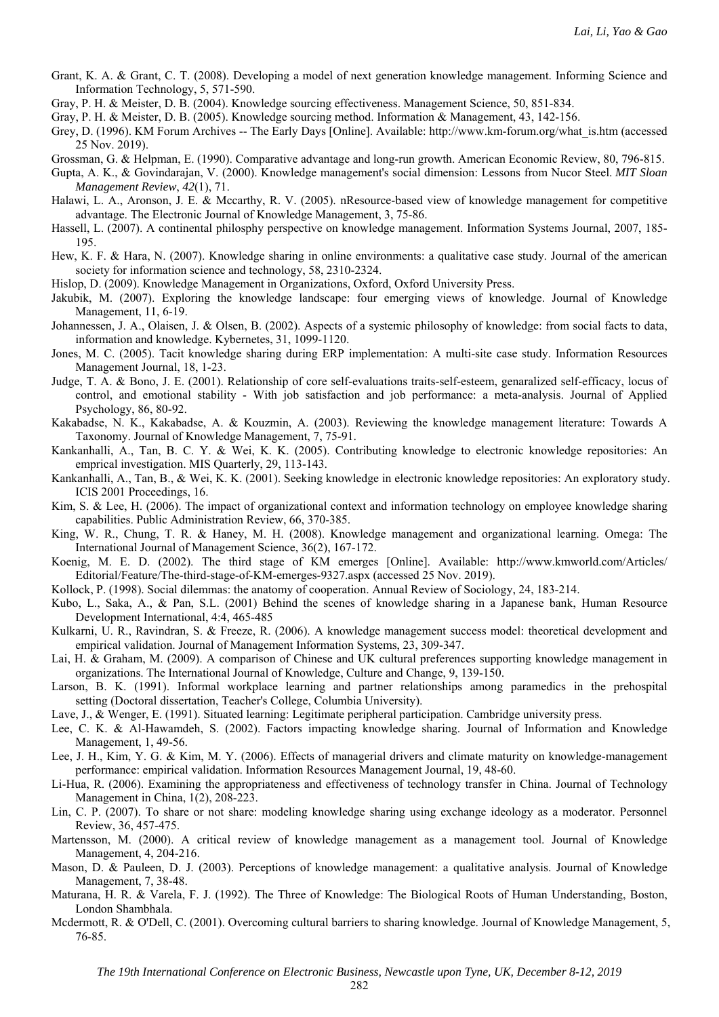- Grant, K. A. & Grant, C. T. (2008). Developing a model of next generation knowledge management. Informing Science and Information Technology, 5, 571-590.
- Gray, P. H. & Meister, D. B. (2004). Knowledge sourcing effectiveness. Management Science, 50, 851-834.
- Gray, P. H. & Meister, D. B. (2005). Knowledge sourcing method. Information & Management, 43, 142-156.
- Grey, D. (1996). KM Forum Archives -- The Early Days [Online]. Available: http://www.km-forum.org/what\_is.htm (accessed 25 Nov. 2019).
- Grossman, G. & Helpman, E. (1990). Comparative advantage and long-run growth. American Economic Review, 80, 796-815.
- Gupta, A. K., & Govindarajan, V. (2000). Knowledge management's social dimension: Lessons from Nucor Steel. *MIT Sloan Management Review*, *42*(1), 71.
- Halawi, L. A., Aronson, J. E. & Mccarthy, R. V. (2005). nResource-based view of knowledge management for competitive advantage. The Electronic Journal of Knowledge Management, 3, 75-86.
- Hassell, L. (2007). A continental philosphy perspective on knowledge management. Information Systems Journal, 2007, 185- 195.
- Hew, K. F. & Hara, N. (2007). Knowledge sharing in online environments: a qualitative case study. Journal of the american society for information science and technology, 58, 2310-2324.
- Hislop, D. (2009). Knowledge Management in Organizations, Oxford, Oxford University Press.
- Jakubik, M. (2007). Exploring the knowledge landscape: four emerging views of knowledge. Journal of Knowledge Management, 11, 6-19.
- Johannessen, J. A., Olaisen, J. & Olsen, B. (2002). Aspects of a systemic philosophy of knowledge: from social facts to data, information and knowledge. Kybernetes, 31, 1099-1120.
- Jones, M. C. (2005). Tacit knowledge sharing during ERP implementation: A multi-site case study. Information Resources Management Journal, 18, 1-23.
- Judge, T. A. & Bono, J. E. (2001). Relationship of core self-evaluations traits-self-esteem, genaralized self-efficacy, locus of control, and emotional stability - With job satisfaction and job performance: a meta-analysis. Journal of Applied Psychology, 86, 80-92.
- Kakabadse, N. K., Kakabadse, A. & Kouzmin, A. (2003). Reviewing the knowledge management literature: Towards A Taxonomy. Journal of Knowledge Management, 7, 75-91.
- Kankanhalli, A., Tan, B. C. Y. & Wei, K. K. (2005). Contributing knowledge to electronic knowledge repositories: An emprical investigation. MIS Quarterly, 29, 113-143.
- Kankanhalli, A., Tan, B., & Wei, K. K. (2001). Seeking knowledge in electronic knowledge repositories: An exploratory study. ICIS 2001 Proceedings, 16.
- Kim, S. & Lee, H. (2006). The impact of organizational context and information technology on employee knowledge sharing capabilities. Public Administration Review, 66, 370-385.
- King, W. R., Chung, T. R. & Haney, M. H. (2008). Knowledge management and organizational learning. Omega: The International Journal of Management Science, 36(2), 167-172.
- Koenig, M. E. D. (2002). The third stage of KM emerges [Online]. Available: http://www.kmworld.com/Articles/ Editorial/Feature/The-third-stage-of-KM-emerges-9327.aspx (accessed 25 Nov. 2019).
- Kollock, P. (1998). Social dilemmas: the anatomy of cooperation. Annual Review of Sociology, 24, 183-214.
- Kubo, L., Saka, A., & Pan, S.L. (2001) Behind the scenes of knowledge sharing in a Japanese bank, Human Resource Development International, 4:4, 465-485
- Kulkarni, U. R., Ravindran, S. & Freeze, R. (2006). A knowledge management success model: theoretical development and empirical validation. Journal of Management Information Systems, 23, 309-347.
- Lai, H. & Graham, M. (2009). A comparison of Chinese and UK cultural preferences supporting knowledge management in organizations. The International Journal of Knowledge, Culture and Change, 9, 139-150.
- Larson, B. K. (1991). Informal workplace learning and partner relationships among paramedics in the prehospital setting (Doctoral dissertation, Teacher's College, Columbia University).
- Lave, J., & Wenger, E. (1991). Situated learning: Legitimate peripheral participation. Cambridge university press.
- Lee, C. K. & Al-Hawamdeh, S. (2002). Factors impacting knowledge sharing. Journal of Information and Knowledge Management, 1, 49-56.
- Lee, J. H., Kim, Y. G. & Kim, M. Y. (2006). Effects of managerial drivers and climate maturity on knowledge-management performance: empirical validation. Information Resources Management Journal, 19, 48-60.
- Li-Hua, R. (2006). Examining the appropriateness and effectiveness of technology transfer in China. Journal of Technology Management in China, 1(2), 208-223.
- Lin, C. P. (2007). To share or not share: modeling knowledge sharing using exchange ideology as a moderator. Personnel Review, 36, 457-475.
- Martensson, M. (2000). A critical review of knowledge management as a management tool. Journal of Knowledge Management, 4, 204-216.
- Mason, D. & Pauleen, D. J. (2003). Perceptions of knowledge management: a qualitative analysis. Journal of Knowledge Management, 7, 38-48.
- Maturana, H. R. & Varela, F. J. (1992). The Three of Knowledge: The Biological Roots of Human Understanding, Boston, London Shambhala.
- Mcdermott, R. & O'Dell, C. (2001). Overcoming cultural barriers to sharing knowledge. Journal of Knowledge Management, 5, 76-85.

282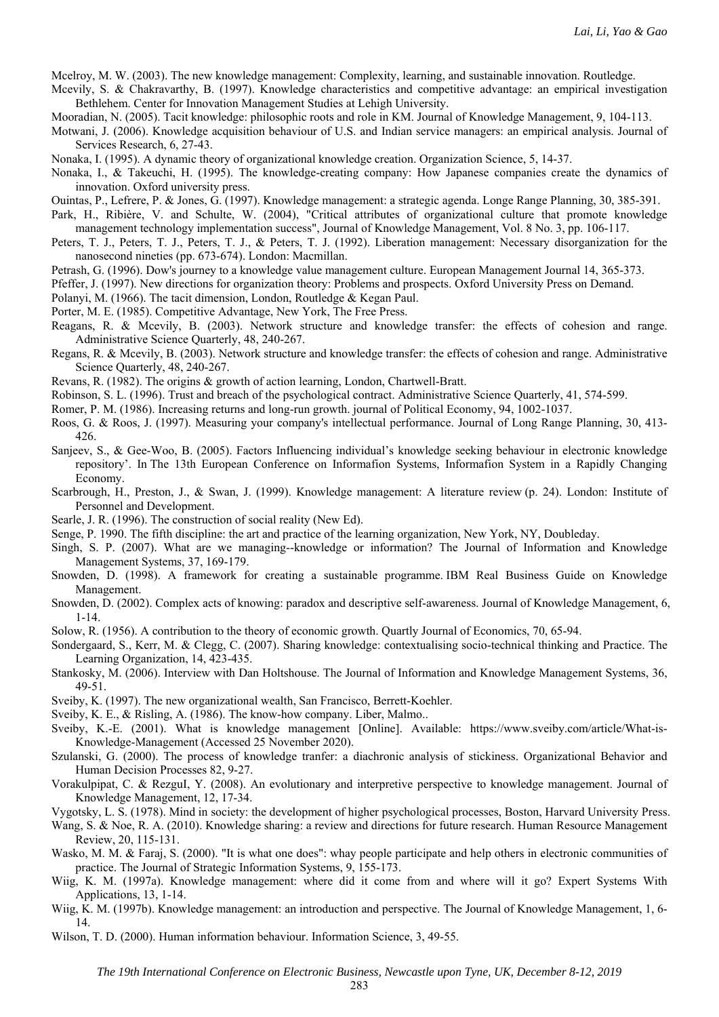Mcelroy, M. W. (2003). The new knowledge management: Complexity, learning, and sustainable innovation. Routledge.

- Mcevily, S. & Chakravarthy, B. (1997). Knowledge characteristics and competitive advantage: an empirical investigation Bethlehem. Center for Innovation Management Studies at Lehigh University.
- Mooradian, N. (2005). Tacit knowledge: philosophic roots and role in KM. Journal of Knowledge Management, 9, 104-113.
- Motwani, J. (2006). Knowledge acquisition behaviour of U.S. and Indian service managers: an empirical analysis. Journal of Services Research, 6, 27-43.
- Nonaka, I. (1995). A dynamic theory of organizational knowledge creation. Organization Science, 5, 14-37.
- Nonaka, I., & Takeuchi, H. (1995). The knowledge-creating company: How Japanese companies create the dynamics of innovation. Oxford university press.
- Ouintas, P., Lefrere, P. & Jones, G. (1997). Knowledge management: a strategic agenda. Longe Range Planning, 30, 385-391.
- Park, H., Ribière, V. and Schulte, W. (2004), "Critical attributes of organizational culture that promote knowledge management technology implementation success", Journal of Knowledge Management, Vol. 8 No. 3, pp. 106-117.
- Peters, T. J., Peters, T. J., Peters, T. J., & Peters, T. J. (1992). Liberation management: Necessary disorganization for the nanosecond nineties (pp. 673-674). London: Macmillan.
- Petrash, G. (1996). Dow's journey to a knowledge value management culture. European Management Journal 14, 365-373.
- Pfeffer, J. (1997). New directions for organization theory: Problems and prospects. Oxford University Press on Demand.
- Polanyi, M. (1966). The tacit dimension, London, Routledge & Kegan Paul.
- Porter, M. E. (1985). Competitive Advantage, New York, The Free Press.
- Reagans, R. & Mcevily, B. (2003). Network structure and knowledge transfer: the effects of cohesion and range. Administrative Science Quarterly, 48, 240-267.
- Regans, R. & Mcevily, B. (2003). Network structure and knowledge transfer: the effects of cohesion and range. Administrative Science Quarterly, 48, 240-267.
- Revans, R. (1982). The origins & growth of action learning, London, Chartwell-Bratt.
- Robinson, S. L. (1996). Trust and breach of the psychological contract. Administrative Science Quarterly, 41, 574-599.
- Romer, P. M. (1986). Increasing returns and long-run growth. journal of Political Economy, 94, 1002-1037.
- Roos, G. & Roos, J. (1997). Measuring your company's intellectual performance. Journal of Long Range Planning, 30, 413- 426.
- Sanjeev, S., & Gee-Woo, B. (2005). Factors Influencing individual's knowledge seeking behaviour in electronic knowledge repository'. In The 13th European Conference on Informafion Systems, Informafion System in a Rapidly Changing Economy.
- Scarbrough, H., Preston, J., & Swan, J. (1999). Knowledge management: A literature review (p. 24). London: Institute of Personnel and Development.
- Searle, J. R. (1996). The construction of social reality (New Ed).
- Senge, P. 1990. The fifth discipline: the art and practice of the learning organization, New York, NY, Doubleday.
- Singh, S. P. (2007). What are we managing--knowledge or information? The Journal of Information and Knowledge Management Systems, 37, 169-179.
- Snowden, D. (1998). A framework for creating a sustainable programme. IBM Real Business Guide on Knowledge Management.
- Snowden, D. (2002). Complex acts of knowing: paradox and descriptive self-awareness. Journal of Knowledge Management, 6, 1-14.
- Solow, R. (1956). A contribution to the theory of economic growth. Quartly Journal of Economics, 70, 65-94.
- Sondergaard, S., Kerr, M. & Clegg, C. (2007). Sharing knowledge: contextualising socio-technical thinking and Practice. The Learning Organization, 14, 423-435.
- Stankosky, M. (2006). Interview with Dan Holtshouse. The Journal of Information and Knowledge Management Systems, 36, 49-51.
- Sveiby, K. (1997). The new organizational wealth, San Francisco, Berrett-Koehler.
- Sveiby, K. E., & Risling, A. (1986). The know-how company. Liber, Malmo..
- Sveiby, K.-E. (2001). What is knowledge management [Online]. Available: https://www.sveiby.com/article/What-is-Knowledge-Management (Accessed 25 November 2020).
- Szulanski, G. (2000). The process of knowledge tranfer: a diachronic analysis of stickiness. Organizational Behavior and Human Decision Processes 82, 9-27.
- Vorakulpipat, C. & RezguI, Y. (2008). An evolutionary and interpretive perspective to knowledge management. Journal of Knowledge Management, 12, 17-34.
- Vygotsky, L. S. (1978). Mind in society: the development of higher psychological processes, Boston, Harvard University Press.
- Wang, S. & Noe, R. A. (2010). Knowledge sharing: a review and directions for future research. Human Resource Management Review, 20, 115-131.
- Wasko, M. M. & Faraj, S. (2000). "It is what one does": whay people participate and help others in electronic communities of practice. The Journal of Strategic Information Systems, 9, 155-173.
- Wiig, K. M. (1997a). Knowledge management: where did it come from and where will it go? Expert Systems With Applications, 13, 1-14.
- Wiig, K. M. (1997b). Knowledge management: an introduction and perspective. The Journal of Knowledge Management, 1, 6-14.
- Wilson, T. D. (2000). Human information behaviour. Information Science, 3, 49-55.